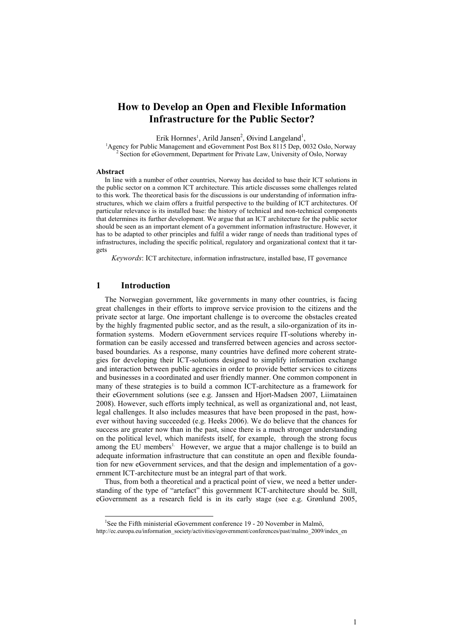# **How to Develop an Open and Flexible Information Infrastructure for the Public Sector?**

Erik Hornnes<sup>1</sup>, Arild Jansen<sup>2</sup>, Øivind Langeland<sup>1</sup>,

<sup>1</sup>Agency for Public Management and eGovernment Post Box 8115 Dep, 0032 Oslo, Norway <sup>2</sup> Section for eGovernment, Department for Private Law, University of Oslo, Norway

#### **Abstract**

 $\overline{a}$ 

In line with a number of other countries, Norway has decided to base their ICT solutions in the public sector on a common ICT architecture. This article discusses some challenges related to this work. The theoretical basis for the discussions is our understanding of information infrastructures, which we claim offers a fruitful perspective to the building of ICT architectures. Of particular relevance is its installed base: the history of technical and non-technical components that determines its further development. We argue that an ICT architecture for the public sector should be seen as an important element of a government information infrastructure. However, it has to be adapted to other principles and fulfil a wider range of needs than traditional types of infrastructures, including the specific political, regulatory and organizational context that it targets

*Keywords*: ICT architecture, information infrastructure, installed base, IT governance

# **1 Introduction**

The Norwegian government, like governments in many other countries, is facing great challenges in their efforts to improve service provision to the citizens and the private sector at large. One important challenge is to overcome the obstacles created by the highly fragmented public sector, and as the result, a silo-organization of its information systems. Modern eGovernment services require IT-solutions whereby information can be easily accessed and transferred between agencies and across sectorbased boundaries. As a response, many countries have defined more coherent strategies for developing their ICT-solutions designed to simplify information exchange and interaction between public agencies in order to provide better services to citizens and businesses in a coordinated and user friendly manner. One common component in many of these strategies is to build a common ICT-architecture as a framework for their eGovernment solutions (see e.g. Janssen and Hjort-Madsen 2007, Liimatainen 2008). However, such efforts imply technical, as well as organizational and, not least, legal challenges. It also includes measures that have been proposed in the past, however without having succeeded (e.g. Heeks 2006). We do believe that the chances for success are greater now than in the past, since there is a much stronger understanding on the political level, which manifests itself, for example, through the strong focus among the EU members<sup>1.</sup> However, we argue that a major challenge is to build an adequate information infrastructure that can constitute an open and flexible foundation for new eGovernment services, and that the design and implementation of a government ICT-architecture must be an integral part of that work.

Thus, from both a theoretical and a practical point of view, we need a better understanding of the type of "artefact" this government ICT-architecture should be. Still, eGovernment as a research field is in its early stage (see e.g. Grønlund 2005,

<sup>&</sup>lt;sup>1</sup>See the Fifth ministerial eGovernment conference 19 - 20 November in Malmö,

http://ec.europa.eu/information\_society/activities/egovernment/conferences/past/malmo\_2009/index\_en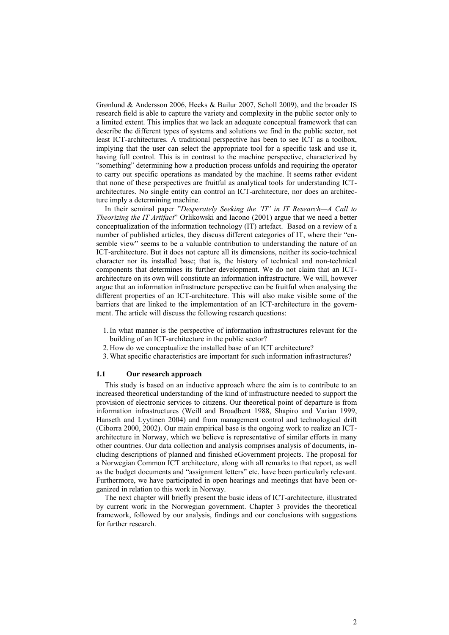Grønlund & Andersson 2006, Heeks & Bailur 2007, Scholl 2009), and the broader IS research field is able to capture the variety and complexity in the public sector only to a limited extent. This implies that we lack an adequate conceptual framework that can describe the different types of systems and solutions we find in the public sector, not least ICT-architectures. A traditional perspective has been to see ICT as a toolbox, implying that the user can select the appropriate tool for a specific task and use it, having full control. This is in contrast to the machine perspective, characterized by "something" determining how a production process unfolds and requiring the operator to carry out specific operations as mandated by the machine. It seems rather evident that none of these perspectives are fruitful as analytical tools for understanding ICTarchitectures. No single entity can control an ICT-architecture, nor does an architecture imply a determining machine.

In their seminal paper "*Desperately Seeking the 'IT' in IT Research—A Call to Theorizing the IT Artifact*" Orlikowski and Iacono (2001) argue that we need a better conceptualization of the information technology (IT) artefact. Based on a review of a number of published articles, they discuss different categories of IT, where their "ensemble view" seems to be a valuable contribution to understanding the nature of an ICT-architecture. But it does not capture all its dimensions, neither its socio-technical character nor its installed base; that is, the history of technical and non-technical components that determines its further development. We do not claim that an ICTarchitecture on its own will constitute an information infrastructure. We will, however argue that an information infrastructure perspective can be fruitful when analysing the different properties of an ICT-architecture. This will also make visible some of the barriers that are linked to the implementation of an ICT-architecture in the government. The article will discuss the following research questions:

- 1.In what manner is the perspective of information infrastructures relevant for the building of an ICT-architecture in the public sector?
- 2. How do we conceptualize the installed base of an ICT architecture?
- 3.What specific characteristics are important for such information infrastructures?

### **1.1 Our research approach**

This study is based on an inductive approach where the aim is to contribute to an increased theoretical understanding of the kind of infrastructure needed to support the provision of electronic services to citizens. Our theoretical point of departure is from information infrastructures (Weill and Broadbent 1988, Shapiro and Varian 1999, Hanseth and Lyytinen 2004) and from management control and technological drift (Ciborra 2000, 2002). Our main empirical base is the ongoing work to realize an ICTarchitecture in Norway, which we believe is representative of similar efforts in many other countries. Our data collection and analysis comprises analysis of documents, including descriptions of planned and finished eGovernment projects. The proposal for a Norwegian Common ICT architecture, along with all remarks to that report, as well as the budget documents and "assignment letters" etc. have been particularly relevant. Furthermore, we have participated in open hearings and meetings that have been organized in relation to this work in Norway.

The next chapter will briefly present the basic ideas of ICT-architecture, illustrated by current work in the Norwegian government. Chapter 3 provides the theoretical framework, followed by our analysis, findings and our conclusions with suggestions for further research.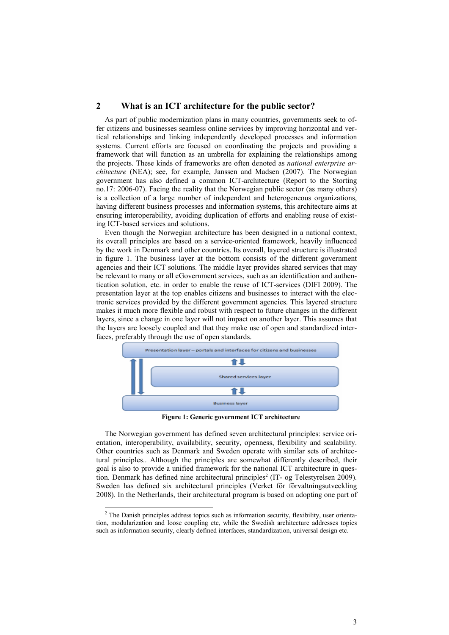# **2 What is an ICT architecture for the public sector?**

As part of public modernization plans in many countries, governments seek to offer citizens and businesses seamless online services by improving horizontal and vertical relationships and linking independently developed processes and information systems. Current efforts are focused on coordinating the projects and providing a framework that will function as an umbrella for explaining the relationships among the projects. These kinds of frameworks are often denoted as *national enterprise architecture* (NEA); see, for example, Janssen and Madsen (2007). The Norwegian government has also defined a common ICT-architecture (Report to the Storting no.17: 2006-07). Facing the reality that the Norwegian public sector (as many others) is a collection of a large number of independent and heterogeneous organizations, having different business processes and information systems, this architecture aims at ensuring interoperability, avoiding duplication of efforts and enabling reuse of existing ICT-based services and solutions.

Even though the Norwegian architecture has been designed in a national context, its overall principles are based on a service-oriented framework, heavily influenced by the work in Denmark and other countries. Its overall, layered structure is illustrated in figure 1. The business layer at the bottom consists of the different government agencies and their ICT solutions. The middle layer provides shared services that may be relevant to many or all eGovernment services, such as an identification and authentication solution, etc. in order to enable the reuse of ICT-services (DIFI 2009). The presentation layer at the top enables citizens and businesses to interact with the electronic services provided by the different government agencies. This layered structure makes it much more flexible and robust with respect to future changes in the different layers, since a change in one layer will not impact on another layer. This assumes that the layers are loosely coupled and that they make use of open and standardized interfaces, preferably through the use of open standards.



**Figure 1: Generic government ICT architecture** 

The Norwegian government has defined seven architectural principles: service orientation, interoperability, availability, security, openness, flexibility and scalability. Other countries such as Denmark and Sweden operate with similar sets of architectural principles.. Although the principles are somewhat differently described, their goal is also to provide a unified framework for the national ICT architecture in question. Denmark has defined nine architectural principles<sup>2</sup> (IT- og Telestyrelsen 2009). Sweden has defined six architectural principles (Verket för förvaltningsutveckling 2008). In the Netherlands, their architectural program is based on adopting one part of

 $\overline{a}$ 

 $2$  The Danish principles address topics such as information security, flexibility, user orientation, modularization and loose coupling etc, while the Swedish architecture addresses topics such as information security, clearly defined interfaces, standardization, universal design etc.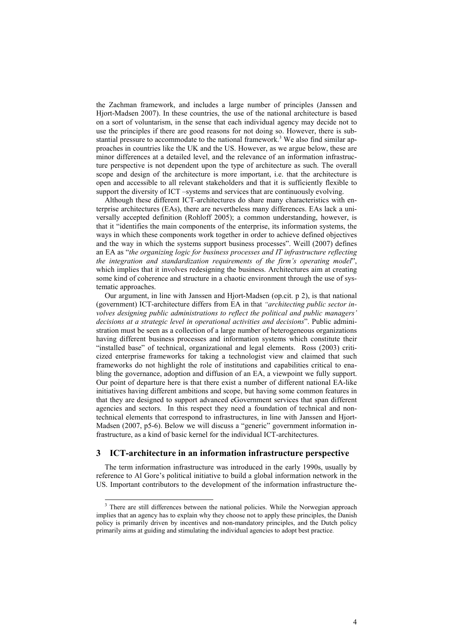the Zachman framework, and includes a large number of principles (Janssen and Hjort-Madsen 2007). In these countries, the use of the national architecture is based on a sort of voluntarism, in the sense that each individual agency may decide not to use the principles if there are good reasons for not doing so. However, there is substantial pressure to accommodate to the national framework.<sup>3</sup> We also find similar approaches in countries like the UK and the US. However, as we argue below, these are minor differences at a detailed level, and the relevance of an information infrastructure perspective is not dependent upon the type of architecture as such. The overall scope and design of the architecture is more important, i.e. that the architecture is open and accessible to all relevant stakeholders and that it is sufficiently flexible to support the diversity of ICT –systems and services that are continuously evolving.

Although these different ICT-architectures do share many characteristics with enterprise architectures (EAs), there are nevertheless many differences. EAs lack a universally accepted definition (Rohloff 2005); a common understanding, however, is that it "identifies the main components of the enterprise, its information systems, the ways in which these components work together in order to achieve defined objectives and the way in which the systems support business processes". Weill (2007) defines an EA as "*the organizing logic for business processes and IT infrastructure reflecting the integration and standardization requirements of the firm's operating model*", which implies that it involves redesigning the business. Architectures aim at creating some kind of coherence and structure in a chaotic environment through the use of systematic approaches.

Our argument, in line with Janssen and Hjort-Madsen (op.cit. p 2), is that national (government) ICT-architecture differs from EA in that *"architecting public sector involves designing public administrations to reflect the political and public managers' decisions at a strategic level in operational activities and decisions*". Public administration must be seen as a collection of a large number of heterogeneous organizations having different business processes and information systems which constitute their "installed base" of technical, organizational and legal elements. Ross (2003) criticized enterprise frameworks for taking a technologist view and claimed that such frameworks do not highlight the role of institutions and capabilities critical to enabling the governance, adoption and diffusion of an EA, a viewpoint we fully support. Our point of departure here is that there exist a number of different national EA-like initiatives having different ambitions and scope, but having some common features in that they are designed to support advanced eGovernment services that span different agencies and sectors. In this respect they need a foundation of technical and nontechnical elements that correspond to infrastructures, in line with Janssen and Hjort-Madsen (2007, p5-6). Below we will discuss a "generic" government information infrastructure, as a kind of basic kernel for the individual ICT-architectures.

### **3 ICT-architecture in an information infrastructure perspective**

The term information infrastructure was introduced in the early 1990s, usually by reference to Al Gore's political initiative to build a global information network in the US. Important contributors to the development of the information infrastructure the-

 $\overline{a}$ 

<sup>&</sup>lt;sup>3</sup> There are still differences between the national policies. While the Norwegian approach implies that an agency has to explain why they choose not to apply these principles, the Danish policy is primarily driven by incentives and non-mandatory principles, and the Dutch policy primarily aims at guiding and stimulating the individual agencies to adopt best practice.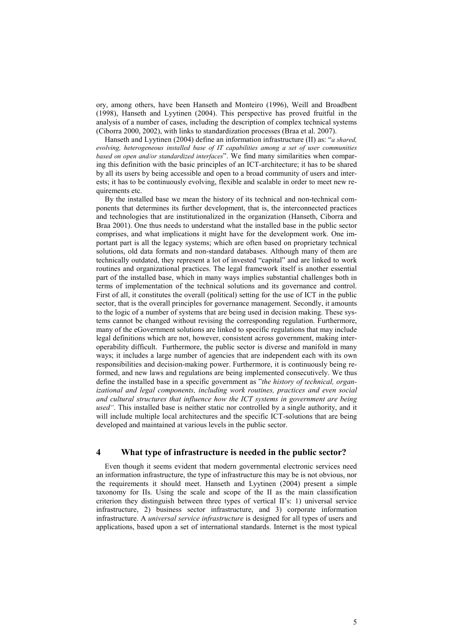ory, among others, have been Hanseth and Monteiro (1996), Weill and Broadbent (1998), Hanseth and Lyytinen (2004). This perspective has proved fruitful in the analysis of a number of cases, including the description of complex technical systems (Ciborra 2000, 2002), with links to standardization processes (Braa et al. 2007).

Hanseth and Lyytinen (2004) define an information infrastructure (II) as: "*a shared, evolving, heterogeneous installed base of IT capabilities among a set of user communities based on open and/or standardized interfaces*". We find many similarities when comparing this definition with the basic principles of an ICT-architecture; it has to be shared by all its users by being accessible and open to a broad community of users and interests; it has to be continuously evolving, flexible and scalable in order to meet new requirements etc.

By the installed base we mean the history of its technical and non-technical components that determines its further development, that is, the interconnected practices and technologies that are institutionalized in the organization (Hanseth, Ciborra and Braa 2001). One thus needs to understand what the installed base in the public sector comprises, and what implications it might have for the development work. One important part is all the legacy systems; which are often based on proprietary technical solutions, old data formats and non-standard databases. Although many of them are technically outdated, they represent a lot of invested "capital" and are linked to work routines and organizational practices. The legal framework itself is another essential part of the installed base, which in many ways implies substantial challenges both in terms of implementation of the technical solutions and its governance and control. First of all, it constitutes the overall (political) setting for the use of ICT in the public sector, that is the overall principles for governance management. Secondly, it amounts to the logic of a number of systems that are being used in decision making. These systems cannot be changed without revising the corresponding regulation. Furthermore, many of the eGovernment solutions are linked to specific regulations that may include legal definitions which are not, however, consistent across government, making interoperability difficult. Furthermore, the public sector is diverse and manifold in many ways; it includes a large number of agencies that are independent each with its own responsibilities and decision-making power. Furthermore, it is continuously being reformed, and new laws and regulations are being implemented consecutively. We thus define the installed base in a specific government as "*the history of technical, organizational and legal components, including work routines, practices and even social and cultural structures that influence how the ICT systems in government are being used"*. This installed base is neither static nor controlled by a single authority, and it will include multiple local architectures and the specific ICT-solutions that are being developed and maintained at various levels in the public sector.

# **4 What type of infrastructure is needed in the public sector?**

Even though it seems evident that modern governmental electronic services need an information infrastructure, the type of infrastructure this may be is not obvious, nor the requirements it should meet. Hanseth and Lyytinen (2004) present a simple taxonomy for IIs. Using the scale and scope of the II as the main classification criterion they distinguish between three types of vertical II's: 1) universal service infrastructure, 2) business sector infrastructure, and 3) corporate information infrastructure. A *universal service infrastructure* is designed for all types of users and applications, based upon a set of international standards. Internet is the most typical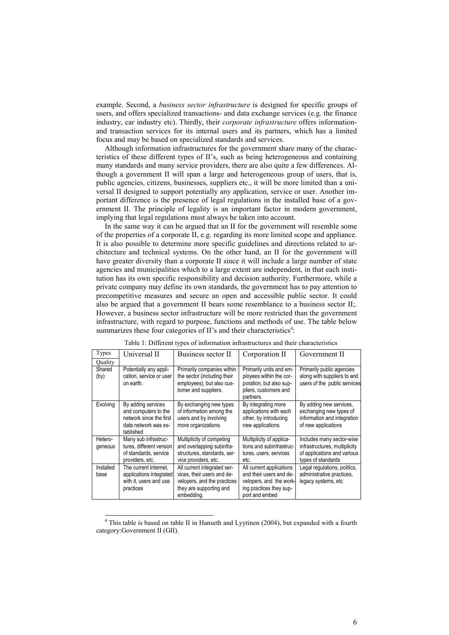example. Second, a *business sector infrastructure* is designed for specific groups of users, and offers specialized transactions- and data exchange services (e.g. the finance industry, car industry etc). Thirdly, their *corporate infrastructure* offers informationand transaction services for its internal users and its partners, which has a limited focus and may be based on specialized standards and services.

Although information infrastructures for the government share many of the characteristics of these different types of II's, such as being heterogeneous and containing many standards and many service providers, there are also quite a few differences. Although a government II will span a large and heterogeneous group of users, that is, public agencies, citizens, businesses, suppliers etc., it will be more limited than a universal II designed to support potentially any application, service or user. Another important difference is the presence of legal regulations in the installed base of a government II. The principle of legality is an important factor in modern government, implying that legal regulations must always be taken into account.

In the same way it can be argued that an II for the government will resemble some of the properties of a corporate II, e.g. regarding its more limited scope and appliance. It is also possible to determine more specific guidelines and directions related to architecture and technical systems. On the other hand, an II for the government will have greater diversity than a corporate II since it will include a large number of state agencies and municipalities which to a large extent are independent, in that each institution has its own specific responsibility and decision authority. Furthermore, while a private company may define its own standards, the government has to pay attention to precompetitive measures and secure an open and accessible public sector. It could also be argued that a government II bears some resemblance to a business sector II;. However, a business sector infrastructure will be more restricted than the government infrastructure, with regard to purpose, functions and methods of use. The table below summarizes these four categories of II's and their characteristics<sup>4</sup>:

| Types              | Universal II                                                                                               | Business sector II                                                                                                                | Corporation II                                                                                                              | Government II                                                                                                   |
|--------------------|------------------------------------------------------------------------------------------------------------|-----------------------------------------------------------------------------------------------------------------------------------|-----------------------------------------------------------------------------------------------------------------------------|-----------------------------------------------------------------------------------------------------------------|
| Quality            |                                                                                                            |                                                                                                                                   |                                                                                                                             |                                                                                                                 |
| Shared<br>(by)     | Potentially any appli-<br>cation, service or user<br>on earth.                                             | Primarily companies within<br>the sector (including their<br>employees), but also cus-<br>tomer and suppliers.                    | Primarily units and em-<br>ployees within the cor-<br>poration, but also sup-<br>pliers, customers and<br>partners.         | Primarily public agencies<br>along with suppliers to and<br>users of the public services                        |
| Evolving           | By adding services<br>and computers to the<br>network since the first<br>data network was es-<br>tablished | By exchanging new types<br>of information among the<br>users and by involving<br>more organizations.                              | By integrating more<br>applications with each<br>other, by introducing<br>new applications                                  | By adding new services,<br>exchanging new types of<br>information and integration<br>of new applications        |
| Hetero-<br>geneous | Many sub infrastruc-<br>tures, different version<br>of standards, service<br>providers, etc.               | Multiplicity of competing<br>and overlapping subinfra-<br>structures, standards, ser-<br>vice providers, etc.                     | Multiplicity of applica-<br>tions and subinfrastruc-<br>tures, users, services<br>etc.                                      | Includes many sector-wise<br>infrastructures, multiplicity<br>of applications and various<br>types of standards |
| Installed<br>base  | The current Internet.<br>applications integrated<br>with it, users and use<br>practices                    | All current integrated ser-<br>vices, their users and de-<br>velopers, and the practices<br>they are supporting and<br>embedding. | All current applications<br>and their users and de-<br>velopers, and the work-<br>ing practices they sup-<br>port and embed | Legal regulations, politics,<br>administrative practices,<br>legacy systems, etc                                |

Table 1: Different types of information infrastructures and their characteristics

 $\overline{a}$ 

<sup>&</sup>lt;sup>4</sup> This table is based on table II in Hanseth and Lyytinen (2004), but expanded with a fourth category:Government II (GII).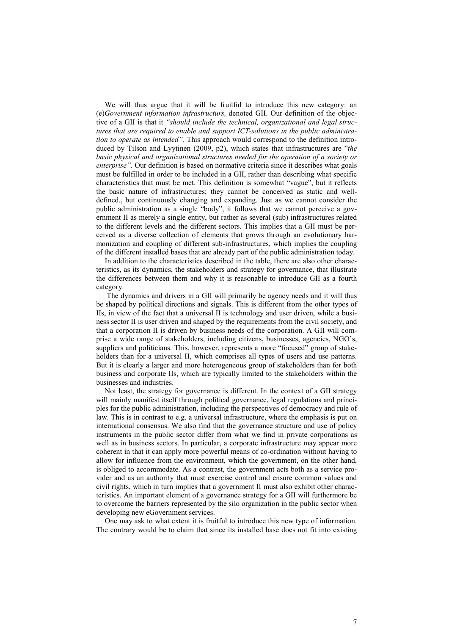We will thus argue that it will be fruitful to introduce this new category: an (e)*Government information infrastructurs,* denoted GII. Our definition of the objective of a GII is that it *"should include the technical, organizational and legal structures that are required to enable and support ICT-solutions in the public administration to operate as intended".* This approach would correspond to the definition introduced by Tilson and Lyytinen (2009, p2), which states that infrastructures are "*the basic physical and organizational structures needed for the operation of a society or enterprise".* Our definition is based on normative criteria since it describes what goals must be fulfilled in order to be included in a GII, rather than describing what specific characteristics that must be met. This definition is somewhat "vague", but it reflects the basic nature of infrastructures; they cannot be conceived as static and welldefined., but continuously changing and expanding. Just as we cannot consider the public administration as a single "body", it follows that we cannot perceive a government II as merely a single entity, but rather as several (sub) infrastructures related to the different levels and the different sectors. This implies that a GII must be perceived as a diverse collection of elements that grows through an evolutionary harmonization and coupling of different sub-infrastructures, which implies the coupling of the different installed bases that are already part of the public administration today.

In addition to the characteristics described in the table, there are also other characteristics, as its dynamics, the stakeholders and strategy for governance, that illustrate the differences between them and why it is reasonable to introduce GII as a fourth category.

 The dynamics and drivers in a GII will primarily be agency needs and it will thus be shaped by political directions and signals. This is different from the other types of IIs, in view of the fact that a universal II is technology and user driven, while a business sector II is user driven and shaped by the requirements from the civil society, and that a corporation II is driven by business needs of the corporation. A GII will comprise a wide range of stakeholders, including citizens, businesses, agencies, NGO's, suppliers and politicians. This, however, represents a more "focused" group of stakeholders than for a universal II, which comprises all types of users and use patterns. But it is clearly a larger and more heterogeneous group of stakeholders than for both business and corporate IIs, which are typically limited to the stakeholders within the businesses and industries.

Not least, the strategy for governance is different. In the context of a GII strategy will mainly manifest itself through political governance, legal regulations and principles for the public administration, including the perspectives of democracy and rule of law. This is in contrast to e.g. a universal infrastructure, where the emphasis is put on international consensus. We also find that the governance structure and use of policy instruments in the public sector differ from what we find in private corporations as well as in business sectors. In particular, a corporate infrastructure may appear more coherent in that it can apply more powerful means of co-ordination without having to allow for influence from the environment, which the government, on the other hand, is obliged to accommodate. As a contrast, the government acts both as a service provider and as an authority that must exercise control and ensure common values and civil rights, which in turn implies that a government II must also exhibit other characteristics. An important element of a governance strategy for a GII will furthermore be to overcome the barriers represented by the silo organization in the public sector when developing new eGovernment services.

One may ask to what extent it is fruitful to introduce this new type of information. The contrary would be to claim that since its installed base does not fit into existing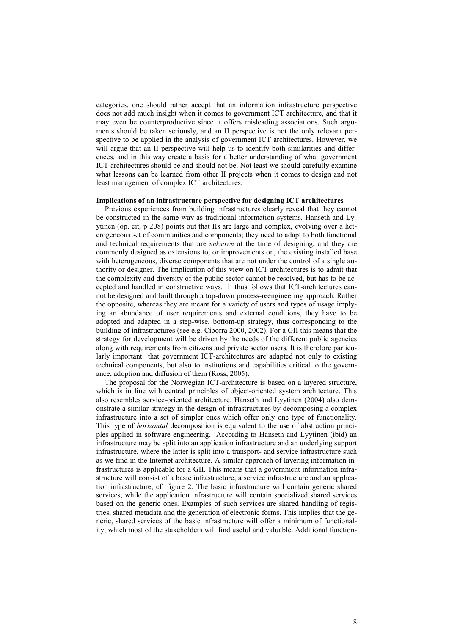categories, one should rather accept that an information infrastructure perspective does not add much insight when it comes to government ICT architecture, and that it may even be counterproductive since it offers misleading associations. Such arguments should be taken seriously, and an II perspective is not the only relevant perspective to be applied in the analysis of government ICT architectures. However, we will argue that an II perspective will help us to identify both similarities and differences, and in this way create a basis for a better understanding of what government ICT architectures should be and should not be. Not least we should carefully examine what lessons can be learned from other II projects when it comes to design and not least management of complex ICT architectures.

#### **Implications of an infrastructure perspective for designing ICT architectures**

Previous experiences from building infrastructures clearly reveal that they cannot be constructed in the same way as traditional information systems. Hanseth and Lyytinen (op. cit, p 208) points out that IIs are large and complex, evolving over a heterogeneous set of communities and components; they need to adapt to both functional and technical requirements that are *unknown* at the time of designing, and they are commonly designed as extensions to, or improvements on, the existing installed base with heterogeneous, diverse components that are not under the control of a single authority or designer. The implication of this view on ICT architectures is to admit that the complexity and diversity of the public sector cannot be resolved, but has to be accepted and handled in constructive ways. It thus follows that ICT-architectures cannot be designed and built through a top-down process-reengineering approach. Rather the opposite, whereas they are meant for a variety of users and types of usage implying an abundance of user requirements and external conditions, they have to be adopted and adapted in a step-wise, bottom-up strategy, thus corresponding to the building of infrastructures (see e.g. Ciborra 2000, 2002). For a GII this means that the strategy for development will be driven by the needs of the different public agencies along with requirements from citizens and private sector users. It is therefore particularly important that government ICT-architectures are adapted not only to existing technical components, but also to institutions and capabilities critical to the governance, adoption and diffusion of them (Ross, 2005).

The proposal for the Norwegian ICT-architecture is based on a layered structure, which is in line with central principles of object-oriented system architecture. This also resembles service-oriented architecture. Hanseth and Lyytinen (2004) also demonstrate a similar strategy in the design of infrastructures by decomposing a complex infrastructure into a set of simpler ones which offer only one type of functionality. This type of *horizontal* decomposition is equivalent to the use of abstraction principles applied in software engineering. According to Hanseth and Lyytinen (ibid) an infrastructure may be split into an application infrastructure and an underlying support infrastructure, where the latter is split into a transport- and service infrastructure such as we find in the Internet architecture. A similar approach of layering information infrastructures is applicable for a GII. This means that a government information infrastructure will consist of a basic infrastructure, a service infrastructure and an application infrastructure, cf. figure 2. The basic infrastructure will contain generic shared services, while the application infrastructure will contain specialized shared services based on the generic ones. Examples of such services are shared handling of registries, shared metadata and the generation of electronic forms. This implies that the generic, shared services of the basic infrastructure will offer a minimum of functionality, which most of the stakeholders will find useful and valuable. Additional function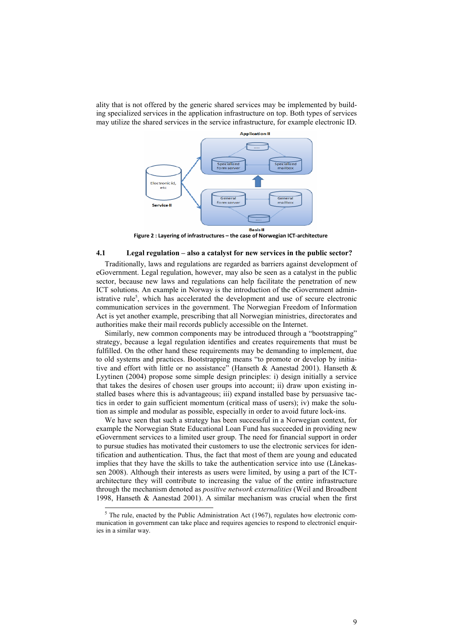ality that is not offered by the generic shared services may be implemented by building specialized services in the application infrastructure on top. Both types of services may utilize the shared services in the service infrastructure, for example electronic ID.



**Figure 2 : Layering of infrastructures – the case of Norwegian ICT-architecture** 

### **4.1 Legal regulation – also a catalyst for new services in the public sector?**

Traditionally, laws and regulations are regarded as barriers against development of eGovernment. Legal regulation, however, may also be seen as a catalyst in the public sector, because new laws and regulations can help facilitate the penetration of new ICT solutions. An example in Norway is the introduction of the eGovernment administrative rule<sup>5</sup>, which has accelerated the development and use of secure electronic communication services in the government. The Norwegian Freedom of Information Act is yet another example, prescribing that all Norwegian ministries, directorates and authorities make their mail records publicly accessible on the Internet.

Similarly, new common components may be introduced through a "bootstrapping" strategy, because a legal regulation identifies and creates requirements that must be fulfilled. On the other hand these requirements may be demanding to implement, due to old systems and practices. Bootstrapping means "to promote or develop by initiative and effort with little or no assistance" (Hanseth & Aanestad 2001). Hanseth & Lyytinen (2004) propose some simple design principles: i) design initially a service that takes the desires of chosen user groups into account; ii) draw upon existing installed bases where this is advantageous; iii) expand installed base by persuasive tactics in order to gain sufficient momentum (critical mass of users); iv) make the solution as simple and modular as possible, especially in order to avoid future lock-ins.

We have seen that such a strategy has been successful in a Norwegian context, for example the Norwegian State Educational Loan Fund has succeeded in providing new eGovernment services to a limited user group. The need for financial support in order to pursue studies has motivated their customers to use the electronic services for identification and authentication. Thus, the fact that most of them are young and educated implies that they have the skills to take the authentication service into use (Lånekassen 2008). Although their interests as users were limited, by using a part of the ICTarchitecture they will contribute to increasing the value of the entire infrastructure through the mechanism denoted as *positive network externalities* (Weil and Broadbent 1998, Hanseth & Aanestad 2001). A similar mechanism was crucial when the first

<sup>&</sup>lt;sup>5</sup> The rule, enacted by the Public Administration Act (1967), regulates how electronic communication in government can take place and requires agencies to respond to electronicl enquiries in a similar way.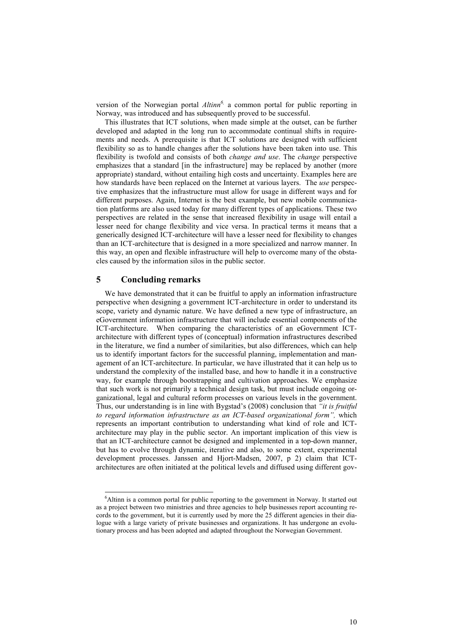version of the Norwegian portal *Altinn<sup>6</sup>,* a common portal for public reporting in Norway, was introduced and has subsequently proved to be successful.

This illustrates that ICT solutions, when made simple at the outset, can be further developed and adapted in the long run to accommodate continual shifts in requirements and needs. A prerequisite is that ICT solutions are designed with sufficient flexibility so as to handle changes after the solutions have been taken into use. This flexibility is twofold and consists of both *change and use*. The *change* perspective emphasizes that a standard [in the infrastructure] may be replaced by another (more appropriate) standard, without entailing high costs and uncertainty. Examples here are how standards have been replaced on the Internet at various layers. The *use* perspective emphasizes that the infrastructure must allow for usage in different ways and for different purposes. Again, Internet is the best example, but new mobile communication platforms are also used today for many different types of applications. These two perspectives are related in the sense that increased flexibility in usage will entail a lesser need for change flexibility and vice versa. In practical terms it means that a generically designed ICT-architecture will have a lesser need for flexibility to changes than an ICT-architecture that is designed in a more specialized and narrow manner. In this way, an open and flexible infrastructure will help to overcome many of the obstacles caused by the information silos in the public sector.

# **5 Concluding remarks**

 $\overline{a}$ 

We have demonstrated that it can be fruitful to apply an information infrastructure perspective when designing a government ICT-architecture in order to understand its scope, variety and dynamic nature. We have defined a new type of infrastructure, an eGovernment information infrastructure that will include essential components of the ICT-architecture. When comparing the characteristics of an eGovernment ICTarchitecture with different types of (conceptual) information infrastructures described in the literature, we find a number of similarities, but also differences, which can help us to identify important factors for the successful planning, implementation and management of an ICT-architecture. In particular, we have illustrated that it can help us to understand the complexity of the installed base, and how to handle it in a constructive way, for example through bootstrapping and cultivation approaches. We emphasize that such work is not primarily a technical design task, but must include ongoing organizational, legal and cultural reform processes on various levels in the government. Thus, our understanding is in line with Bygstad's (2008) conclusion that *"it is fruitful to regard information infrastructure as an ICT-based organizational form",* which represents an important contribution to understanding what kind of role and ICTarchitecture may play in the public sector. An important implication of this view is that an ICT-architecture cannot be designed and implemented in a top-down manner, but has to evolve through dynamic, iterative and also, to some extent, experimental development processes. Janssen and Hjort-Madsen, 2007, p 2) claim that ICTarchitectures are often initiated at the political levels and diffused using different gov-

<sup>&</sup>lt;sup>6</sup>Altinn is a common portal for public reporting to the government in Norway. It started out as a project between two ministries and three agencies to help businesses report accounting records to the government, but it is currently used by more the 25 different agencies in their dialogue with a large variety of private businesses and organizations. It has undergone an evolutionary process and has been adopted and adapted throughout the Norwegian Government.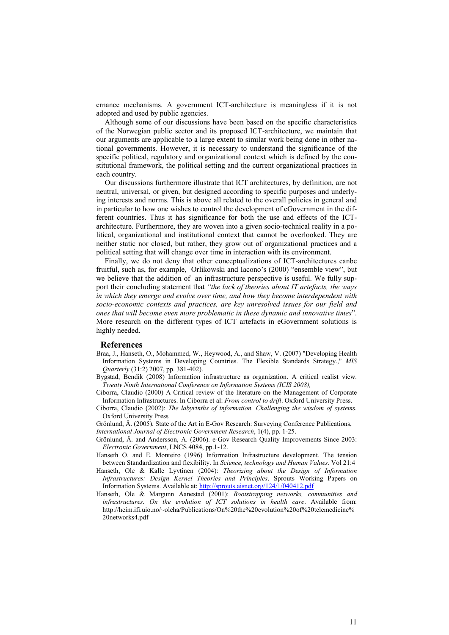ernance mechanisms. A government ICT-architecture is meaningless if it is not adopted and used by public agencies.

Although some of our discussions have been based on the specific characteristics of the Norwegian public sector and its proposed ICT-architecture, we maintain that our arguments are applicable to a large extent to similar work being done in other national governments. However, it is necessary to understand the significance of the specific political, regulatory and organizational context which is defined by the constitutional framework, the political setting and the current organizational practices in each country.

Our discussions furthermore illustrate that ICT architectures, by definition, are not neutral, universal, or given, but designed according to specific purposes and underlying interests and norms. This is above all related to the overall policies in general and in particular to how one wishes to control the development of eGovernment in the different countries. Thus it has significance for both the use and effects of the ICTarchitecture. Furthermore, they are woven into a given socio-technical reality in a political, organizational and institutional context that cannot be overlooked. They are neither static nor closed, but rather, they grow out of organizational practices and a political setting that will change over time in interaction with its environment.

Finally, we do not deny that other conceptualizations of ICT-architectures canbe fruitful, such as, for example, Orlikowski and Iacono's (2000) "ensemble view", but we believe that the addition of an infrastructure perspective is useful. We fully support their concluding statement that *"the lack of theories about IT artefacts, the ways in which they emerge and evolve over time, and how they become interdependent with socio-economic contexts and practices, are key unresolved issues for our field and ones that will become even more problematic in these dynamic and innovative times*". More research on the different types of ICT artefacts in eGovernment solutions is highly needed.

### **References**

- Braa, J., Hanseth, O., Mohammed, W., Heywood, A., and Shaw, V. (2007) "Developing Health Information Systems in Developing Countries. The Flexible Standards Strategy.," *MIS Quarterly* (31:2) 2007, pp. 381-402).
- Bygstad, Bendik (2008) Information infrastructure as organization. A critical realist view. *Twenty Ninth International Conference on Information Systems (ICIS 2008),*
- Ciborra, Claudio (2000) A Critical review of the literature on the Management of Corporate Information Infrastructures. In Ciborra et al: *From control to drift*. Oxford University Press.
- Ciborra, Claudio (2002): *The labyrinths of information. Challenging the wisdom of systems.* Oxford University Press

Grönlund, Å. (2005). State of the Art in E-Gov Research: Surveying Conference Publications,

*International Journal of Electronic Government Research*, 1(4), pp. 1-25.

- Grönlund, Å. and Andersson, A. (2006). e-Gov Research Quality Improvements Since 2003: *Electronic Government*, LNCS 4084, pp.1-12.
- Hanseth O. and E. Monteiro (1996) Information Infrastructure development. The tension between Standardization and flexibility. In *Science, technology and Human Values*. Vol 21:4
- Hanseth, Ole & Kalle Lyytinen (2004): *Theorizing about the Design of Information Infrastructures: Design Kernel Theories and Principles*. Sprouts Working Papers on Information Systems. Available at: http://sprouts.aisnet.org/124/1/040412.pdf
- Hanseth, Ole & Margunn Aanestad (2001): *Bootstrapping networks, communities and infrastructures. On the evolution of ICT solutions in health care*. Available from: http://heim.ifi.uio.no/~oleha/Publications/On%20the%20evolution%20of%20telemedicine% 20networks4.pdf